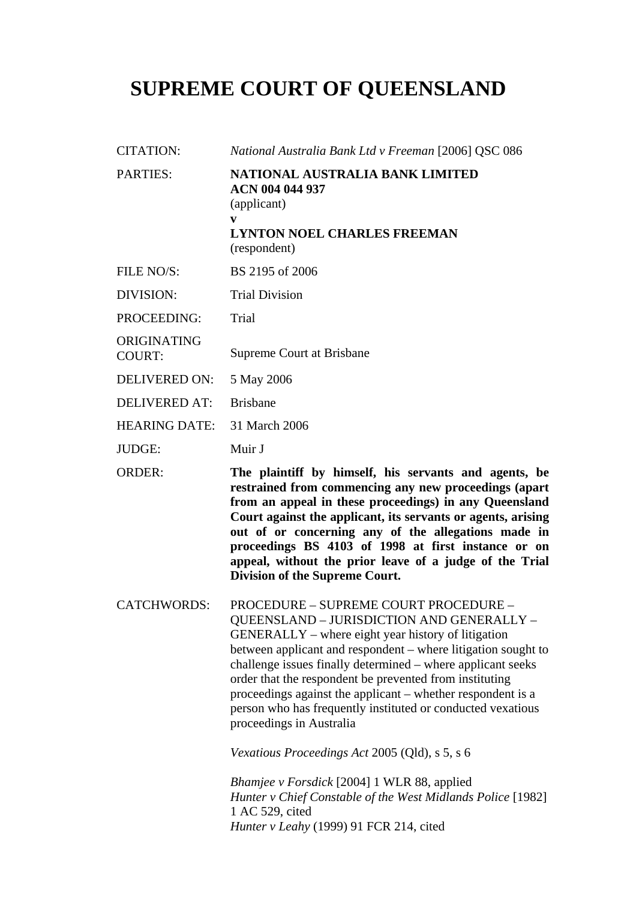## **SUPREME COURT OF QUEENSLAND**

CITATION: *National Australia Bank Ltd v Freeman* [2006] QSC 086 PARTIES: **NATIONAL AUSTRALIA BANK LIMITED ACN 004 044 937**  (applicant) **v LYNTON NOEL CHARLES FREEMAN**  (respondent) FILE NO/S: BS 2195 of 2006 DIVISION: Trial Division PROCEEDING: Trial ORIGINATING COURT: Supreme Court at Brisbane DELIVERED ON: 5 May 2006 DELIVERED AT: Brisbane HEARING DATE: 31 March 2006 JUDGE: Muir J ORDER: **The plaintiff by himself, his servants and agents, be restrained from commencing any new proceedings (apart from an appeal in these proceedings) in any Queensland Court against the applicant, its servants or agents, arising out of or concerning any of the allegations made in proceedings BS 4103 of 1998 at first instance or on appeal, without the prior leave of a judge of the Trial Division of the Supreme Court.**  CATCHWORDS: PROCEDURE – SUPREME COURT PROCEDURE – QUEENSLAND – JURISDICTION AND GENERALLY – GENERALLY – where eight year history of litigation between applicant and respondent – where litigation sought to challenge issues finally determined – where applicant seeks order that the respondent be prevented from instituting proceedings against the applicant – whether respondent is a person who has frequently instituted or conducted vexatious

*Vexatious Proceedings Act* 2005 (Qld), s 5, s 6

proceedings in Australia

*Bhamjee v Forsdick* [2004] 1 WLR 88, applied *Hunter v Chief Constable of the West Midlands Police* [1982] 1 AC 529, cited *Hunter v Leahy* (1999) 91 FCR 214, cited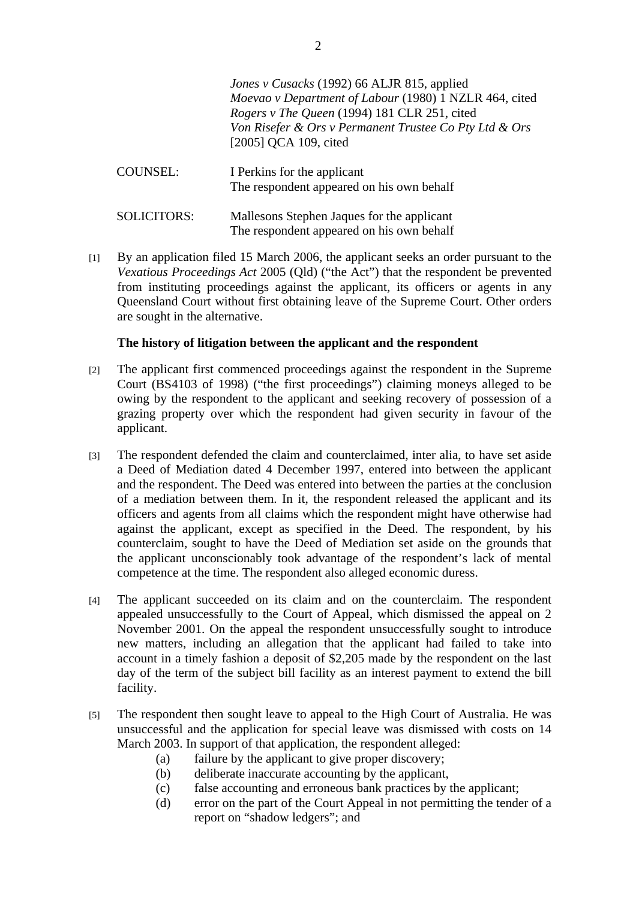*Jones v Cusacks* (1992) 66 ALJR 815, applied *Moevao v Department of Labour* (1980) 1 NZLR 464, cited *Rogers v The Queen* (1994) 181 CLR 251, cited *Von Risefer & Ors v Permanent Trustee Co Pty Ltd & Ors*  [2005] QCA 109, cited COUNSEL: I Perkins for the applicant The respondent appeared on his own behalf

- SOLICITORS: Mallesons Stephen Jaques for the applicant The respondent appeared on his own behalf
- [1] By an application filed 15 March 2006, the applicant seeks an order pursuant to the *Vexatious Proceedings Act* 2005 (Qld) ("the Act") that the respondent be prevented from instituting proceedings against the applicant, its officers or agents in any Queensland Court without first obtaining leave of the Supreme Court. Other orders are sought in the alternative.

## **The history of litigation between the applicant and the respondent**

- [2] The applicant first commenced proceedings against the respondent in the Supreme Court (BS4103 of 1998) ("the first proceedings") claiming moneys alleged to be owing by the respondent to the applicant and seeking recovery of possession of a grazing property over which the respondent had given security in favour of the applicant.
- [3] The respondent defended the claim and counterclaimed, inter alia, to have set aside a Deed of Mediation dated 4 December 1997, entered into between the applicant and the respondent. The Deed was entered into between the parties at the conclusion of a mediation between them. In it, the respondent released the applicant and its officers and agents from all claims which the respondent might have otherwise had against the applicant, except as specified in the Deed. The respondent, by his counterclaim, sought to have the Deed of Mediation set aside on the grounds that the applicant unconscionably took advantage of the respondent's lack of mental competence at the time. The respondent also alleged economic duress.
- [4] The applicant succeeded on its claim and on the counterclaim. The respondent appealed unsuccessfully to the Court of Appeal, which dismissed the appeal on 2 November 2001. On the appeal the respondent unsuccessfully sought to introduce new matters, including an allegation that the applicant had failed to take into account in a timely fashion a deposit of \$2,205 made by the respondent on the last day of the term of the subject bill facility as an interest payment to extend the bill facility.
- [5] The respondent then sought leave to appeal to the High Court of Australia. He was unsuccessful and the application for special leave was dismissed with costs on 14 March 2003. In support of that application, the respondent alleged:
	- (a) failure by the applicant to give proper discovery;
	- (b) deliberate inaccurate accounting by the applicant,
	- (c) false accounting and erroneous bank practices by the applicant;
	- (d) error on the part of the Court Appeal in not permitting the tender of a report on "shadow ledgers"; and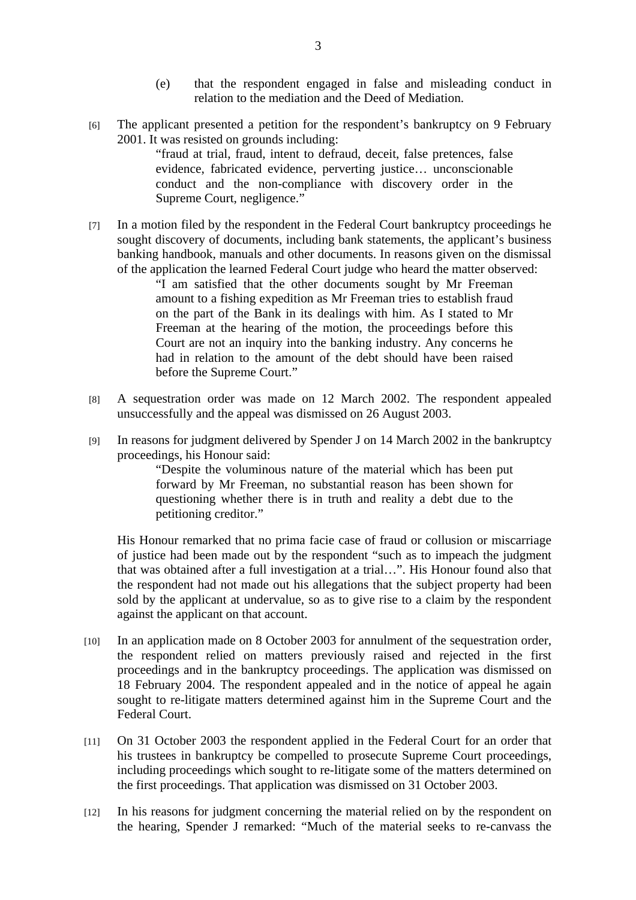- (e) that the respondent engaged in false and misleading conduct in relation to the mediation and the Deed of Mediation.
- [6] The applicant presented a petition for the respondent's bankruptcy on 9 February 2001. It was resisted on grounds including:

"fraud at trial, fraud, intent to defraud, deceit, false pretences, false evidence, fabricated evidence, perverting justice… unconscionable conduct and the non-compliance with discovery order in the Supreme Court, negligence."

[7] In a motion filed by the respondent in the Federal Court bankruptcy proceedings he sought discovery of documents, including bank statements, the applicant's business banking handbook, manuals and other documents. In reasons given on the dismissal of the application the learned Federal Court judge who heard the matter observed:

"I am satisfied that the other documents sought by Mr Freeman amount to a fishing expedition as Mr Freeman tries to establish fraud on the part of the Bank in its dealings with him. As I stated to Mr Freeman at the hearing of the motion, the proceedings before this Court are not an inquiry into the banking industry. Any concerns he had in relation to the amount of the debt should have been raised before the Supreme Court."

- [8] A sequestration order was made on 12 March 2002. The respondent appealed unsuccessfully and the appeal was dismissed on 26 August 2003.
- [9] In reasons for judgment delivered by Spender J on 14 March 2002 in the bankruptcy proceedings, his Honour said:

"Despite the voluminous nature of the material which has been put forward by Mr Freeman, no substantial reason has been shown for questioning whether there is in truth and reality a debt due to the petitioning creditor."

His Honour remarked that no prima facie case of fraud or collusion or miscarriage of justice had been made out by the respondent "such as to impeach the judgment that was obtained after a full investigation at a trial…". His Honour found also that the respondent had not made out his allegations that the subject property had been sold by the applicant at undervalue, so as to give rise to a claim by the respondent against the applicant on that account.

- [10] In an application made on 8 October 2003 for annulment of the sequestration order, the respondent relied on matters previously raised and rejected in the first proceedings and in the bankruptcy proceedings. The application was dismissed on 18 February 2004. The respondent appealed and in the notice of appeal he again sought to re-litigate matters determined against him in the Supreme Court and the Federal Court.
- [11] On 31 October 2003 the respondent applied in the Federal Court for an order that his trustees in bankruptcy be compelled to prosecute Supreme Court proceedings, including proceedings which sought to re-litigate some of the matters determined on the first proceedings. That application was dismissed on 31 October 2003.
- [12] In his reasons for judgment concerning the material relied on by the respondent on the hearing, Spender J remarked: "Much of the material seeks to re-canvass the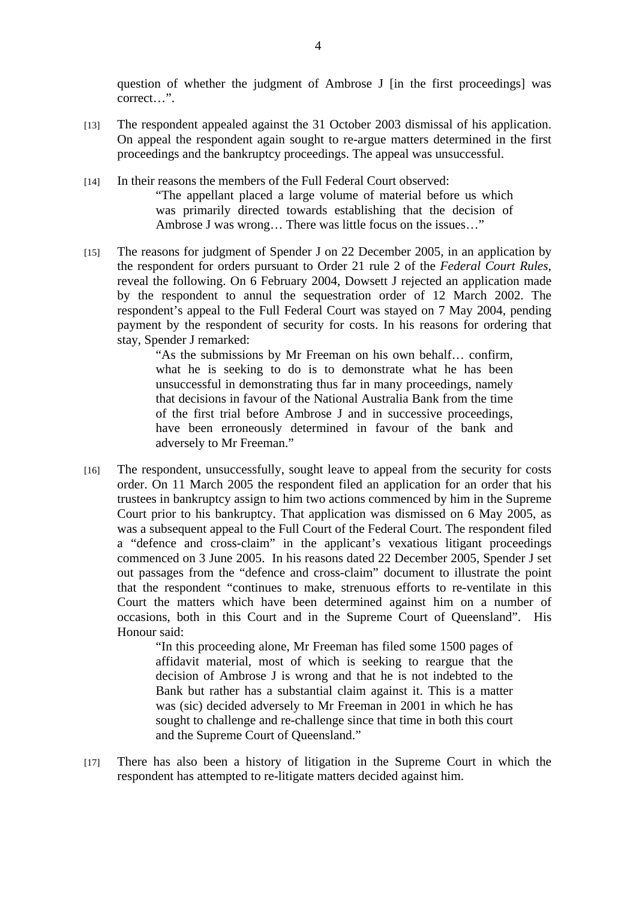question of whether the judgment of Ambrose J [in the first proceedings] was correct…".

- [13] The respondent appealed against the 31 October 2003 dismissal of his application. On appeal the respondent again sought to re-argue matters determined in the first proceedings and the bankruptcy proceedings. The appeal was unsuccessful.
- [14] In their reasons the members of the Full Federal Court observed: "The appellant placed a large volume of material before us which was primarily directed towards establishing that the decision of Ambrose J was wrong… There was little focus on the issues…"
- [15] The reasons for judgment of Spender J on 22 December 2005, in an application by the respondent for orders pursuant to Order 21 rule 2 of the *Federal Court Rules*, reveal the following. On 6 February 2004, Dowsett J rejected an application made by the respondent to annul the sequestration order of 12 March 2002. The respondent's appeal to the Full Federal Court was stayed on 7 May 2004, pending payment by the respondent of security for costs. In his reasons for ordering that stay, Spender J remarked:

"As the submissions by Mr Freeman on his own behalf… confirm, what he is seeking to do is to demonstrate what he has been unsuccessful in demonstrating thus far in many proceedings, namely that decisions in favour of the National Australia Bank from the time of the first trial before Ambrose J and in successive proceedings, have been erroneously determined in favour of the bank and adversely to Mr Freeman."

[16] The respondent, unsuccessfully, sought leave to appeal from the security for costs order. On 11 March 2005 the respondent filed an application for an order that his trustees in bankruptcy assign to him two actions commenced by him in the Supreme Court prior to his bankruptcy. That application was dismissed on 6 May 2005, as was a subsequent appeal to the Full Court of the Federal Court. The respondent filed a "defence and cross-claim" in the applicant's vexatious litigant proceedings commenced on 3 June 2005. In his reasons dated 22 December 2005, Spender J set out passages from the "defence and cross-claim" document to illustrate the point that the respondent "continues to make, strenuous efforts to re-ventilate in this Court the matters which have been determined against him on a number of occasions, both in this Court and in the Supreme Court of Queensland". His Honour said:

> "In this proceeding alone, Mr Freeman has filed some 1500 pages of affidavit material, most of which is seeking to reargue that the decision of Ambrose J is wrong and that he is not indebted to the Bank but rather has a substantial claim against it. This is a matter was (sic) decided adversely to Mr Freeman in 2001 in which he has sought to challenge and re-challenge since that time in both this court and the Supreme Court of Queensland."

[17] There has also been a history of litigation in the Supreme Court in which the respondent has attempted to re-litigate matters decided against him.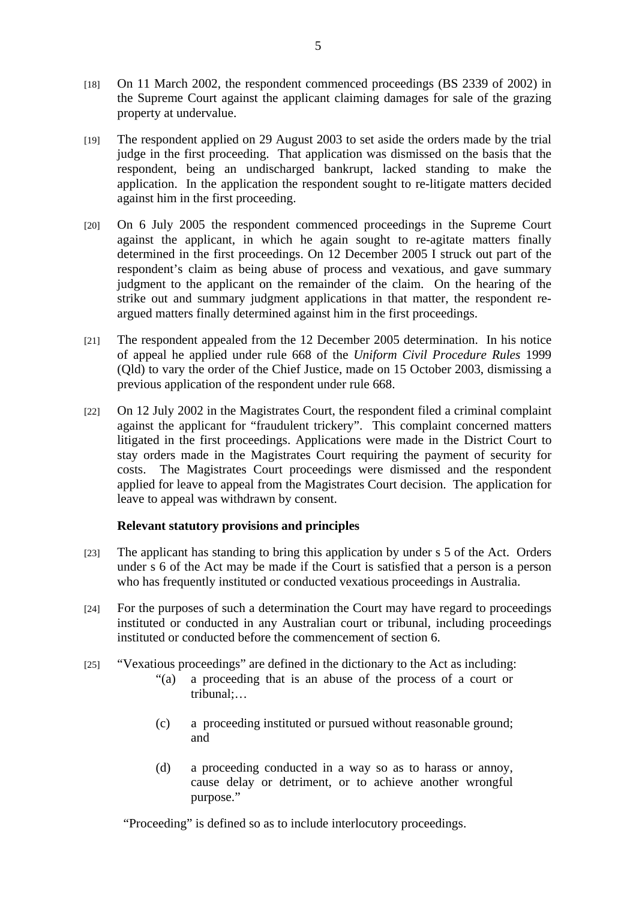- [18] On 11 March 2002, the respondent commenced proceedings (BS 2339 of 2002) in the Supreme Court against the applicant claiming damages for sale of the grazing property at undervalue.
- [19] The respondent applied on 29 August 2003 to set aside the orders made by the trial judge in the first proceeding. That application was dismissed on the basis that the respondent, being an undischarged bankrupt, lacked standing to make the application. In the application the respondent sought to re-litigate matters decided against him in the first proceeding.
- [20] On 6 July 2005 the respondent commenced proceedings in the Supreme Court against the applicant, in which he again sought to re-agitate matters finally determined in the first proceedings. On 12 December 2005 I struck out part of the respondent's claim as being abuse of process and vexatious, and gave summary judgment to the applicant on the remainder of the claim. On the hearing of the strike out and summary judgment applications in that matter, the respondent reargued matters finally determined against him in the first proceedings.
- [21] The respondent appealed from the 12 December 2005 determination. In his notice of appeal he applied under rule 668 of the *Uniform Civil Procedure Rules* 1999 (Qld) to vary the order of the Chief Justice, made on 15 October 2003, dismissing a previous application of the respondent under rule 668.
- [22] On 12 July 2002 in the Magistrates Court, the respondent filed a criminal complaint against the applicant for "fraudulent trickery". This complaint concerned matters litigated in the first proceedings. Applications were made in the District Court to stay orders made in the Magistrates Court requiring the payment of security for costs. The Magistrates Court proceedings were dismissed and the respondent applied for leave to appeal from the Magistrates Court decision. The application for leave to appeal was withdrawn by consent.

## **Relevant statutory provisions and principles**

- [23] The applicant has standing to bring this application by under s 5 of the Act. Orders under s 6 of the Act may be made if the Court is satisfied that a person is a person who has frequently instituted or conducted vexatious proceedings in Australia.
- [24] For the purposes of such a determination the Court may have regard to proceedings instituted or conducted in any Australian court or tribunal, including proceedings instituted or conducted before the commencement of section 6.
- [25] "Vexatious proceedings" are defined in the dictionary to the Act as including:
	- "(a) a proceeding that is an abuse of the process of a court or tribunal;…
	- (c) a proceeding instituted or pursued without reasonable ground; and
	- (d) a proceeding conducted in a way so as to harass or annoy, cause delay or detriment, or to achieve another wrongful purpose."

"Proceeding" is defined so as to include interlocutory proceedings.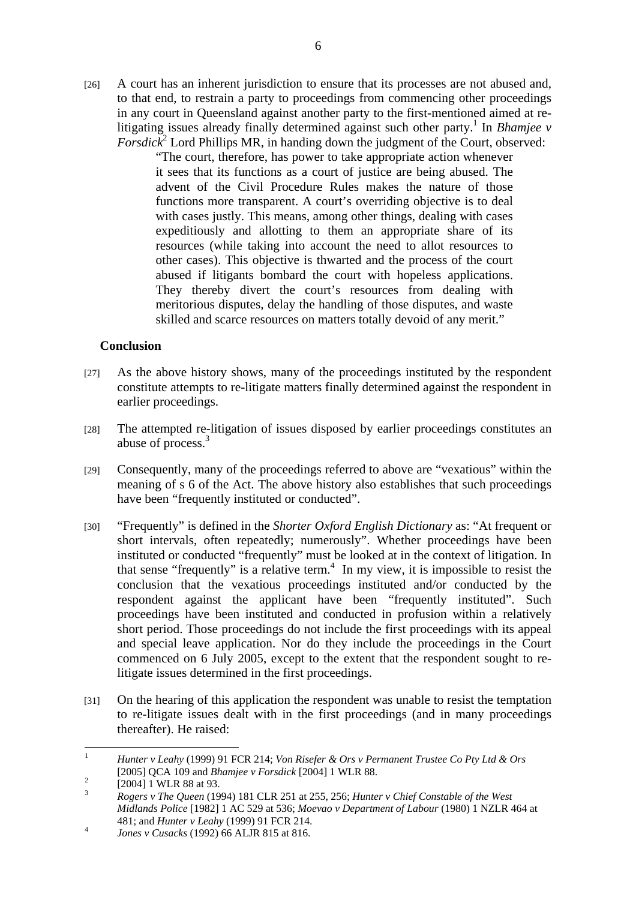[26] A court has an inherent jurisdiction to ensure that its processes are not abused and, to that end, to restrain a party to proceedings from commencing other proceedings in any court in Queensland against another party to the first-mentioned aimed at relitigating issues already finally determined against such other party.<sup>1</sup> In *Bhamjee v*  $For slack<sup>2</sup>$  Lord Phillips MR, in handing down the judgment of the Court, observed:

> "The court, therefore, has power to take appropriate action whenever it sees that its functions as a court of justice are being abused. The advent of the Civil Procedure Rules makes the nature of those functions more transparent. A court's overriding objective is to deal with cases justly. This means, among other things, dealing with cases expeditiously and allotting to them an appropriate share of its resources (while taking into account the need to allot resources to other cases). This objective is thwarted and the process of the court abused if litigants bombard the court with hopeless applications. They thereby divert the court's resources from dealing with meritorious disputes, delay the handling of those disputes, and waste skilled and scarce resources on matters totally devoid of any merit."

## **Conclusion**

- [27] As the above history shows, many of the proceedings instituted by the respondent constitute attempts to re-litigate matters finally determined against the respondent in earlier proceedings.
- [28] The attempted re-litigation of issues disposed by earlier proceedings constitutes an abuse of process.3
- [29] Consequently, many of the proceedings referred to above are "vexatious" within the meaning of s 6 of the Act. The above history also establishes that such proceedings have been "frequently instituted or conducted".
- [30] "Frequently" is defined in the *Shorter Oxford English Dictionary* as: "At frequent or short intervals, often repeatedly; numerously". Whether proceedings have been instituted or conducted "frequently" must be looked at in the context of litigation. In that sense "frequently" is a relative term. $4\,$  In my view, it is impossible to resist the conclusion that the vexatious proceedings instituted and/or conducted by the respondent against the applicant have been "frequently instituted". Such proceedings have been instituted and conducted in profusion within a relatively short period. Those proceedings do not include the first proceedings with its appeal and special leave application. Nor do they include the proceedings in the Court commenced on 6 July 2005, except to the extent that the respondent sought to relitigate issues determined in the first proceedings.
- [31] On the hearing of this application the respondent was unable to resist the temptation to re-litigate issues dealt with in the first proceedings (and in many proceedings thereafter). He raised:

 $\frac{1}{1}$  *Hunter v Leahy* (1999) 91 FCR 214; *Von Risefer & Ors v Permanent Trustee Co Pty Ltd & Ors*  [2005] QCA 109 and *Bhamjee v Forsdick* [2004] 1 WLR 88. 2

 <sup>[2004] 1</sup> WLR 88 at 93.

<sup>3</sup> *Rogers v The Queen* (1994) 181 CLR 251 at 255, 256; *Hunter v Chief Constable of the West Midlands Police* [1982] 1 AC 529 at 536; *Moevao v Department of Labour* (1980) 1 NZLR 464 at 481; and *Hunter v Leahy* (1999) 91 FCR 214.

*Jones v Cusacks* (1992) 66 ALJR 815 at 816.